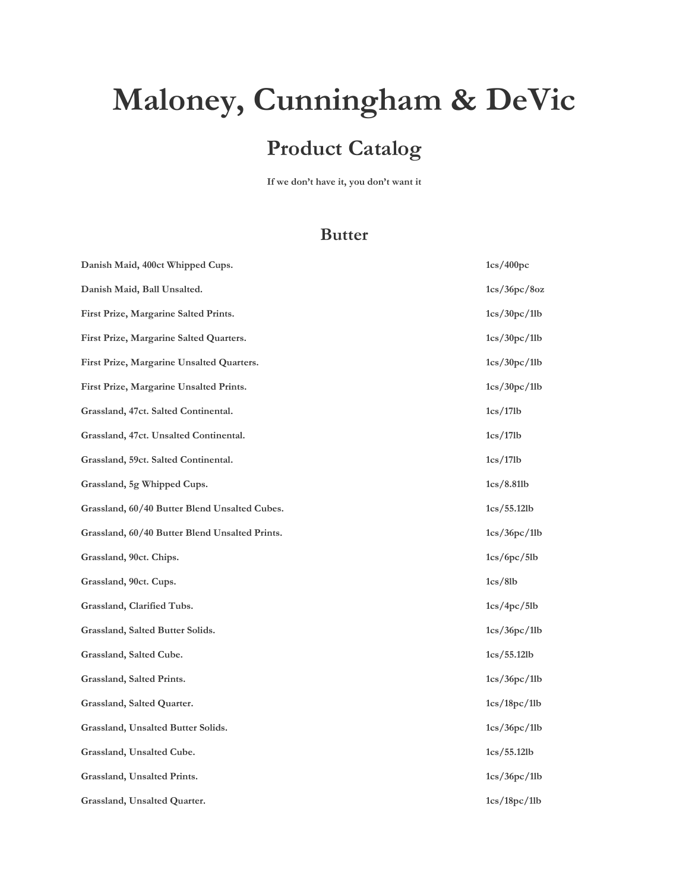# **Maloney, Cunningham & DeVic**

# **Product Catalog**

**If we don't have it, you don't want it**

#### **Butter**

| Danish Maid, 400ct Whipped Cups.               | 1cs/400pc    |
|------------------------------------------------|--------------|
| Danish Maid, Ball Unsalted.                    | 1cs/36pc/8oz |
| First Prize, Margarine Salted Prints.          | 1cs/30pc/1lb |
| First Prize, Margarine Salted Quarters.        | 1cs/30pc/1lb |
| First Prize, Margarine Unsalted Quarters.      | 1cs/30pc/1lb |
| First Prize, Margarine Unsalted Prints.        | 1cs/30pc/1lb |
| Grassland, 47ct. Salted Continental.           | 1cs/17lb     |
| Grassland, 47ct. Unsalted Continental.         | 1cs/17lb     |
| Grassland, 59ct. Salted Continental.           | 1cs/17lb     |
| Grassland, 5g Whipped Cups.                    | 1cs/8.81 lb  |
| Grassland, 60/40 Butter Blend Unsalted Cubes.  | 1cs/55.12 lb |
| Grassland, 60/40 Butter Blend Unsalted Prints. | 1cs/36pc/1lb |
| Grassland, 90ct. Chips.                        | 1cs/6pc/5lb  |
| Grassland, 90ct. Cups.                         | 1cs/8lb      |
| Grassland, Clarified Tubs.                     | 1cs/4pc/5lb  |
| Grassland, Salted Butter Solids.               | 1cs/36pc/1lb |
| Grassland, Salted Cube.                        | 1cs/55.12 lb |
| Grassland, Salted Prints.                      | 1cs/36pc/1lb |
| Grassland, Salted Quarter.                     | 1cs/18pc/1lb |
| Grassland, Unsalted Butter Solids.             | 1cs/36pc/1lb |
| Grassland, Unsalted Cube.                      | 1cs/55.12 lb |
| Grassland, Unsalted Prints.                    | 1cs/36pc/1lb |
| Grassland, Unsalted Quarter.                   | 1cs/18pc/1lb |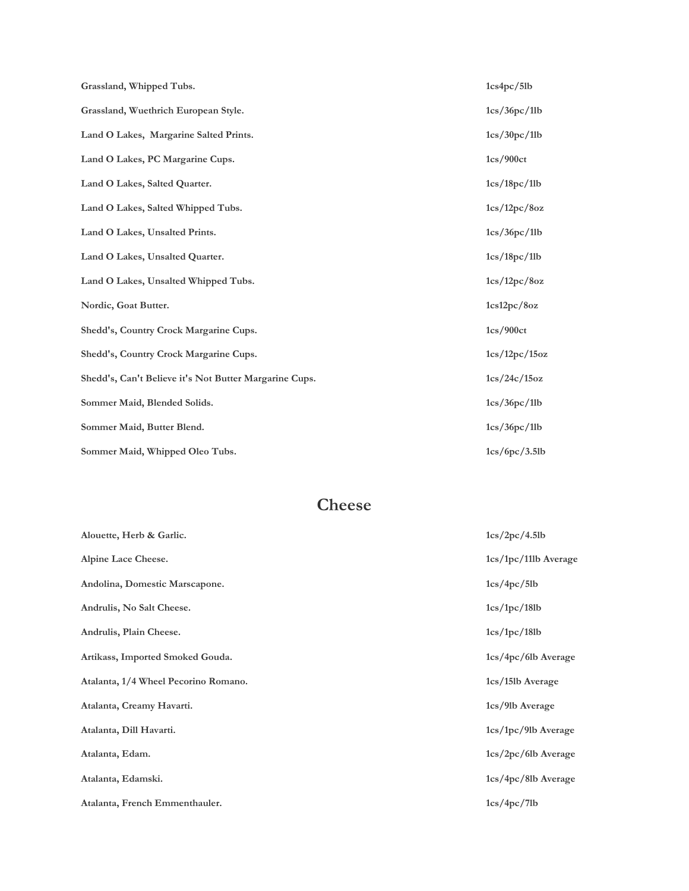| Grassland, Whipped Tubs.                               | 1cs4pc/5lb    |
|--------------------------------------------------------|---------------|
| Grassland, Wuethrich European Style.                   | 1cs/36pc/1lb  |
| Land O Lakes, Margarine Salted Prints.                 | 1cs/30pc/11b  |
| Land O Lakes, PC Margarine Cups.                       | 1cs/900ct     |
| Land O Lakes, Salted Quarter.                          | 1cs/18pc/1lb  |
| Land O Lakes, Salted Whipped Tubs.                     | 1cs/12pc/8oz  |
| Land O Lakes, Unsalted Prints.                         | 1cs/36pc/1lb  |
| Land O Lakes, Unsalted Quarter.                        | 1cs/18pc/1lb  |
| Land O Lakes, Unsalted Whipped Tubs.                   | 1cs/12pc/8oz  |
| Nordic, Goat Butter.                                   | 1cs12pc/8oz   |
| Shedd's, Country Crock Margarine Cups.                 | 1cs/900ct     |
| Shedd's, Country Crock Margarine Cups.                 | 1cs/12pc/15oz |
| Shedd's, Can't Believe it's Not Butter Margarine Cups. | 1cs/24c/15oz  |
| Sommer Maid, Blended Solids.                           | 1cs/36pc/11b  |
| Sommer Maid, Butter Blend.                             | 1cs/36pc/1lb  |
| Sommer Maid, Whipped Oleo Tubs.                        | 1cs/6pc/3.5lb |

## **Cheese**

| Alouette, Herb & Garlic.             | 1cs/2pc/4.5lb         |
|--------------------------------------|-----------------------|
| Alpine Lace Cheese.                  | 1cs/1pc/11lb Average  |
| Andolina, Domestic Marscapone.       | 1cs/4pc/5lb           |
| Andrulis, No Salt Cheese.            | 1cs/1pc/18lb          |
| Andrulis, Plain Cheese.              | 1cs/1pc/18lb          |
| Artikass, Imported Smoked Gouda.     | $1cs/4pc/6lb$ Average |
| Atalanta, 1/4 Wheel Pecorino Romano. | 1cs/15lb Average      |
| Atalanta, Creamy Havarti.            | 1cs/9lb Average       |
| Atalanta, Dill Havarti.              | 1cs/1pc/9lb Average   |
| Atalanta, Edam.                      | $1cs/2pc/6lb$ Average |
| Atalanta, Edamski.                   | $1cs/4pc/8lb$ Average |
| Atalanta, French Emmenthauler.       | 1cs/4pc/7lb           |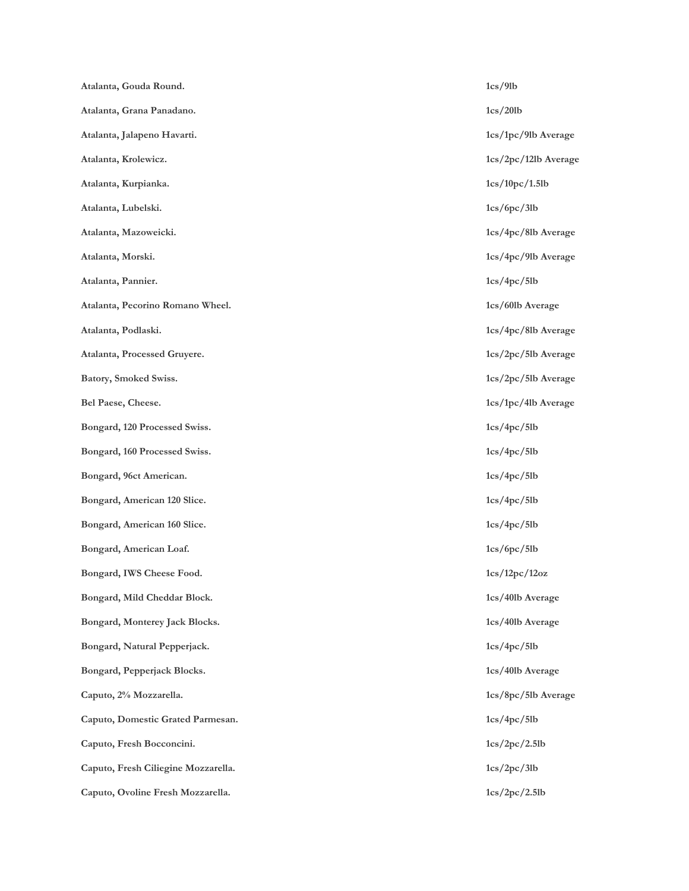| Atalanta, Gouda Round.              | 1cs/9lb              |
|-------------------------------------|----------------------|
| Atalanta, Grana Panadano.           | 1cs/201b             |
| Atalanta, Jalapeno Havarti.         | 1cs/1pc/9lb Average  |
| Atalanta, Krolewicz.                | 1cs/2pc/12lb Average |
| Atalanta, Kurpianka.                | 1cs/10pc/1.5lb       |
| Atalanta, Lubelski.                 | 1cs/6pc/3lb          |
| Atalanta, Mazoweicki.               | 1cs/4pc/8lb Average  |
| Atalanta, Morski.                   | 1cs/4pc/9lb Average  |
| Atalanta, Pannier.                  | 1cs/4pc/5lb          |
| Atalanta, Pecorino Romano Wheel.    | 1cs/60lb Average     |
| Atalanta, Podlaski.                 | 1cs/4pc/8lb Average  |
| Atalanta, Processed Gruyere.        | 1cs/2pc/5lb Average  |
| Batory, Smoked Swiss.               | 1cs/2pc/5lb Average  |
| Bel Paese, Cheese.                  | 1cs/1pc/4lb Average  |
| Bongard, 120 Processed Swiss.       | 1cs/4pc/5lb          |
| Bongard, 160 Processed Swiss.       | 1cs/4pc/5lb          |
| Bongard, 96ct American.             | 1cs/4pc/5lb          |
| Bongard, American 120 Slice.        | 1cs/4pc/5lb          |
| Bongard, American 160 Slice.        | 1cs/4pc/5lb          |
| Bongard, American Loaf.             | 1cs/6pc/5lb          |
| Bongard, IWS Cheese Food.           | 1cs/12pc/12oz        |
| Bongard, Mild Cheddar Block.        | 1cs/40lb Average     |
| Bongard, Monterey Jack Blocks.      | 1cs/40lb Average     |
| Bongard, Natural Pepperjack.        | 1cs/4pc/5lb          |
| Bongard, Pepperjack Blocks.         | 1cs/40lb Average     |
| Caputo, 2% Mozzarella.              | 1cs/8pc/5lb Average  |
| Caputo, Domestic Grated Parmesan.   | 1cs/4pc/5lb          |
| Caputo, Fresh Bocconcini.           | 1cs/2pc/2.5lb        |
| Caputo, Fresh Ciliegine Mozzarella. | 1cs/2pc/3lb          |
| Caputo, Ovoline Fresh Mozzarella.   | 1cs/2pc/2.5lb        |
|                                     |                      |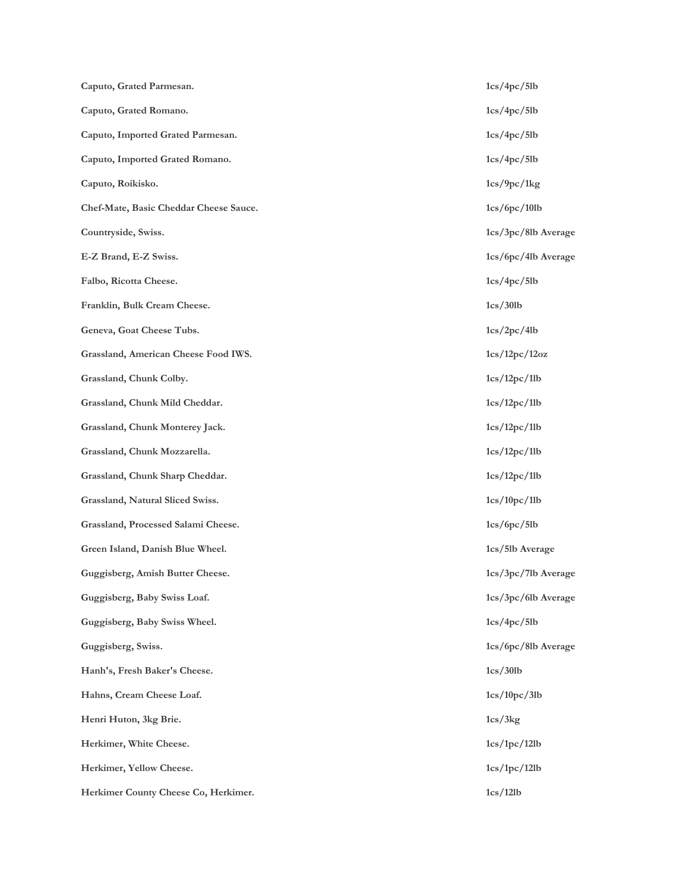| Caputo, Grated Parmesan.               | 1cs/4pc/5lb           |
|----------------------------------------|-----------------------|
| Caputo, Grated Romano.                 | 1cs/4pc/5lb           |
| Caputo, Imported Grated Parmesan.      | 1cs/4pc/5lb           |
| Caputo, Imported Grated Romano.        | 1cs/4pc/5lb           |
| Caputo, Roikisko.                      | 1cs/9pc/1kg           |
| Chef-Mate, Basic Cheddar Cheese Sauce. | 1cs/6pc/10lb          |
| Countryside, Swiss.                    | 1cs/3pc/8lb Average   |
| E-Z Brand, E-Z Swiss.                  | 1cs/6pc/4lb Average   |
| Falbo, Ricotta Cheese.                 | 1cs/4pc/5lb           |
| Franklin, Bulk Cream Cheese.           | 1cs/30lb              |
| Geneva, Goat Cheese Tubs.              | 1cs/2pc/4lb           |
| Grassland, American Cheese Food IWS.   | 1cs/12pc/12oz         |
| Grassland, Chunk Colby.                | 1cs/12pc/1lb          |
| Grassland, Chunk Mild Cheddar.         | 1cs/12pc/1lb          |
| Grassland, Chunk Monterey Jack.        | 1cs/12pc/1lb          |
| Grassland, Chunk Mozzarella.           | 1cs/12pc/1lb          |
| Grassland, Chunk Sharp Cheddar.        | 1cs/12pc/1lb          |
| Grassland, Natural Sliced Swiss.       | 1cs/10pc/1lb          |
| Grassland, Processed Salami Cheese.    | 1cs/6pc/5lb           |
| Green Island, Danish Blue Wheel.       | 1cs/5lb Average       |
| Guggisberg, Amish Butter Cheese.       | $1cs/3pc/7lb$ Average |
| Guggisberg, Baby Swiss Loaf.           | 1cs/3pc/6lb Average   |
| Guggisberg, Baby Swiss Wheel.          | 1cs/4pc/5lb           |
| Guggisberg, Swiss.                     | 1cs/6pc/8lb Average   |
| Hanh's, Fresh Baker's Cheese.          | 1cs/30lb              |
| Hahns, Cream Cheese Loaf.              | 1cs/10pc/3lb          |
| Henri Huton, 3kg Brie.                 | 1cs/3kg               |
| Herkimer, White Cheese.                | 1cs/1pc/12lb          |
| Herkimer, Yellow Cheese.               | 1cs/1pc/12lb          |
| Herkimer County Cheese Co, Herkimer.   | 1cs/12lb              |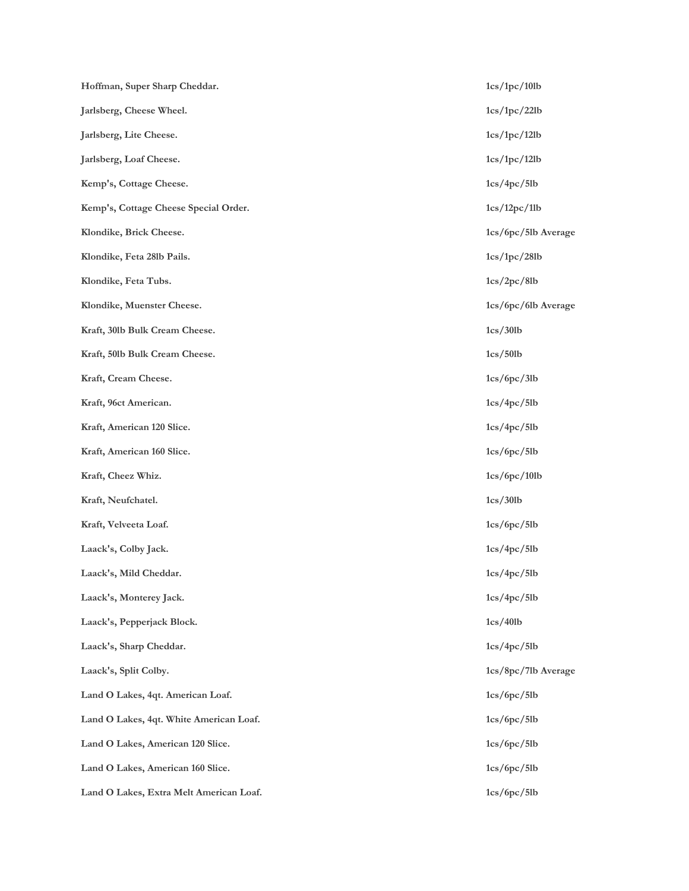| Hoffman, Super Sharp Cheddar.           | 1cs/1pc/10lb        |
|-----------------------------------------|---------------------|
| Jarlsberg, Cheese Wheel.                | 1cs/1pc/22lb        |
| Jarlsberg, Lite Cheese.                 | 1cs/1pc/12lb        |
| Jarlsberg, Loaf Cheese.                 | 1cs/1pc/12lb        |
| Kemp's, Cottage Cheese.                 | 1cs/4pc/5lb         |
| Kemp's, Cottage Cheese Special Order.   | 1cs/12pc/1lb        |
| Klondike, Brick Cheese.                 | 1cs/6pc/5lb Average |
| Klondike, Feta 281b Pails.              | 1cs/1pc/28lb        |
| Klondike, Feta Tubs.                    | 1cs/2pc/8lb         |
| Klondike, Muenster Cheese.              | 1cs/6pc/6lb Average |
| Kraft, 301b Bulk Cream Cheese.          | 1cs/30lb            |
| Kraft, 501b Bulk Cream Cheese.          | 1cs/501b            |
| Kraft, Cream Cheese.                    | 1cs/6pc/3lb         |
| Kraft, 96ct American.                   | 1cs/4pc/5lb         |
| Kraft, American 120 Slice.              | 1cs/4pc/5lb         |
| Kraft, American 160 Slice.              | 1cs/6pc/5lb         |
| Kraft, Cheez Whiz.                      | 1cs/6pc/10lb        |
| Kraft, Neufchatel.                      | 1cs/30lb            |
| Kraft, Velveeta Loaf.                   | 1cs/6pc/5lb         |
| Laack's, Colby Jack.                    | 1cs/4pc/5lb         |
| Laack's, Mild Cheddar.                  | 1cs/4pc/5lb         |
| Laack's, Monterey Jack.                 | 1cs/4pc/5lb         |
| Laack's, Pepperjack Block.              | 1cs/401b            |
| Laack's, Sharp Cheddar.                 | 1cs/4pc/5lb         |
| Laack's, Split Colby.                   | 1cs/8pc/7lb Average |
| Land O Lakes, 4qt. American Loaf.       | 1cs/6pc/5lb         |
| Land O Lakes, 4qt. White American Loaf. | 1cs/6pc/5lb         |
| Land O Lakes, American 120 Slice.       | 1cs/6pc/5lb         |
| Land O Lakes, American 160 Slice.       | 1cs/6pc/5lb         |
| Land O Lakes, Extra Melt American Loaf. | 1cs/6pc/5lb         |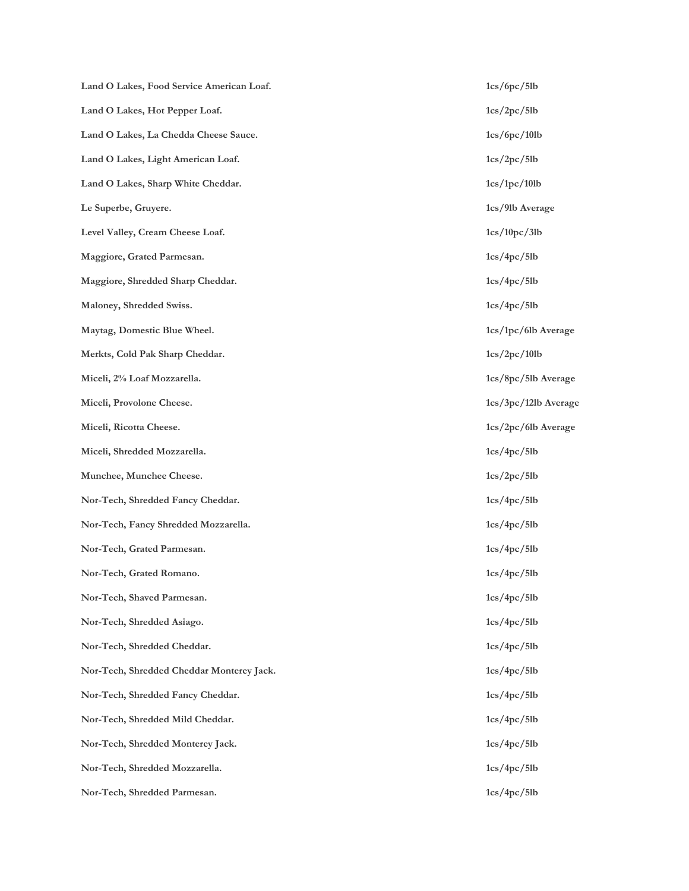Land O Lakes, Food Service American Loaf. 1cs/6pc/5lb **Land O Lakes, Hot Pepper Loaf. 1cs/2pc/5lb Land O Lakes, La Chedda Cheese Sauce. 1cs/6pc/10lb Land O Lakes, Light American Loaf. 1cs/2pc/5lb** Land O Lakes, Sharp White Cheddar. 1cs/1pc/10lb **Le Superbe, Gruyere. 1cs/9lb Average** Level Valley, Cream Cheese Loaf. 1cs/10pc/3lb **Maggiore, Grated Parmesan.** 1cs/4pc/5lb **Maggiore, Shredded Sharp Cheddar. 1cs/4pc/5lb Maloney, Shredded Swiss. 1cs/4pc/5lb Maytag, Domestic Blue Wheel. 1cs/1pc/6lb Average Merkts, Cold Pak Sharp Cheddar. 1cs/2pc/10lb Miceli, 2% Loaf Mozzarella. 1cs/8pc/5lb Average Miceli, Provolone Cheese. 1cs/3pc/12lb Average Miceli, Ricotta Cheese. 1cs/2pc/6lb Average Miceli, Shredded Mozzarella. 1cs/4pc/5lb Munchee, Munchee Cheese.** 1cs/2pc/5lb **Nor-Tech, Shredded Fancy Cheddar. 1cs/4pc/5lb Nor-Tech, Fancy Shredded Mozzarella. 1cs/4pc/5lb Nor-Tech, Grated Parmesan. 1cs/4pc/5lb Nor-Tech, Grated Romano. 1cs/4pc/5lb Nor-Tech, Shaved Parmesan. 1cs/4pc/5lb Nor-Tech, Shredded Asiago. 1cs/4pc/5lb Nor-Tech, Shredded Cheddar. 1cs/4pc/5lb Nor-Tech, Shredded Cheddar Monterey Jack. 1cs/4pc/5lb** Nor-Tech, Shredded Fancy Cheddar. 1cs/4pc/5lb **Nor-Tech, Shredded Mild Cheddar. 1cs/4pc/5lb Nor-Tech, Shredded Monterey Jack. 1cs/4pc/5lb Nor-Tech, Shredded Mozzarella. 1cs/4pc/5lb Nor-Tech, Shredded Parmesan. 1cs/4pc/5lb**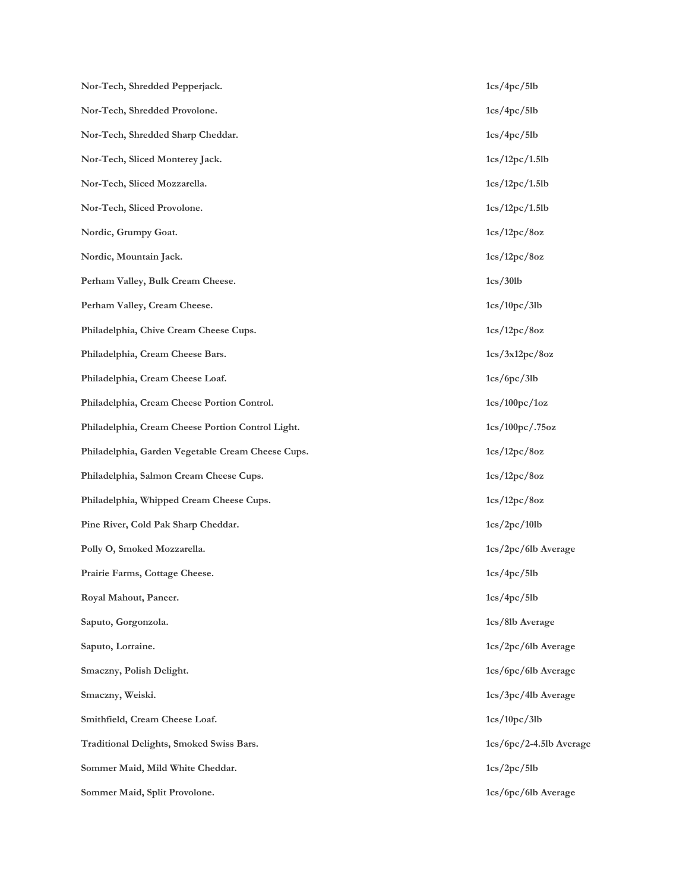Nor-Tech, Shredded Pepperjack. 1cs/4pc/5lb **Nor-Tech, Shredded Provolone. 1cs/4pc/5lb Nor-Tech, Shredded Sharp Cheddar. 1cs/4pc/5lb Nor-Tech, Sliced Monterey Jack. 1cs/12pc/1.5lb Nor-Tech, Sliced Mozzarella. 1cs/12pc/1.5lb Nor-Tech, Sliced Provolone. 1cs/12pc/1.5lb Nordic, Grumpy Goat. 1cs/12pc/8oz Nordic, Mountain Jack. 1cs/12pc/8oz Perham Valley, Bulk Cream Cheese.** 1cs/30lb **Perham Valley, Cream Cheese.** 1cs/10pc/3lb **Philadelphia, Chive Cream Cheese Cups. 1cs/12pc/8oz Philadelphia, Cream Cheese Bars. 1cs/3x12pc/8oz** Philadelphia, Cream Cheese Loaf. 1cs/6pc/3lb **Philadelphia, Cream Cheese Portion Control. 1cs/100pc/1oz Philadelphia, Cream Cheese Portion Control Light. 1cs/100pc/.75oz Philadelphia, Garden Vegetable Cream Cheese Cups. 1cs/12pc/8oz Philadelphia, Salmon Cream Cheese Cups. 1cs/12pc/8oz Philadelphia, Whipped Cream Cheese Cups. 1cs/12pc/8oz** Pine River, Cold Pak Sharp Cheddar. 1cs/2pc/10lb **Polly O, Smoked Mozzarella. 1cs/2pc/6lb Average** Prairie Farms, Cottage Cheese. 1cs/4pc/5lb **Royal Mahout, Paneer. 1cs/4pc/5lb Saputo, Gorgonzola. 1cs/8lb Average Saputo, Lorraine. 1cs/2pc/6lb Average Smaczny, Polish Delight. 1cs/6pc/6lb Average Smaczny, Weiski. 1cs/3pc/4lb Average** Smithfield, Cream Cheese Loaf. 1cs/10pc/3lb **Traditional Delights, Smoked Swiss Bars. 1cs/6pc/2-4.5lb Average Sommer Maid, Mild White Cheddar.** 1cs/2pc/5lb **Sommer Maid, Split Provolone.** 1cs/6pc/6lb Average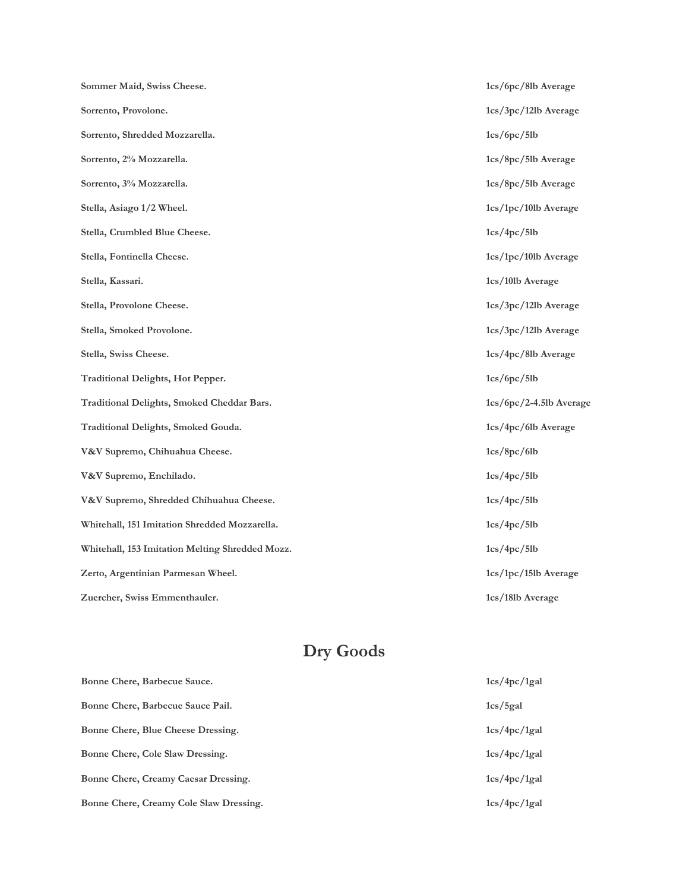| Sommer Maid, Swiss Cheese.                      | 1cs/6pc/8lb Average       |
|-------------------------------------------------|---------------------------|
| Sorrento, Provolone.                            | 1cs/3pc/12lb Average      |
| Sorrento, Shredded Mozzarella.                  | 1cs/6pc/5lb               |
| Sorrento, 2% Mozzarella.                        | 1cs/8pc/5lb Average       |
| Sorrento, 3% Mozzarella.                        | 1cs/8pc/5lb Average       |
| Stella, Asiago 1/2 Wheel.                       | 1cs/1pc/101b Average      |
| Stella, Crumbled Blue Cheese.                   | 1cs/4pc/5lb               |
| Stella, Fontinella Cheese.                      | 1cs/1pc/101b Average      |
| Stella, Kassari.                                | 1cs/10lb Average          |
| Stella, Provolone Cheese.                       | 1cs/3pc/12lb Average      |
| Stella, Smoked Provolone.                       | 1cs/3pc/12lb Average      |
| Stella, Swiss Cheese.                           | 1cs/4pc/8lb Average       |
| Traditional Delights, Hot Pepper.               | 1cs/6pc/5lb               |
| Traditional Delights, Smoked Cheddar Bars.      | $1cs/6pc/2-4.5lb$ Average |
| Traditional Delights, Smoked Gouda.             | 1cs/4pc/6lb Average       |
| V&V Supremo, Chihuahua Cheese.                  | 1cs/8pc/6lb               |
| V&V Supremo, Enchilado.                         | 1cs/4pc/5lb               |
| V&V Supremo, Shredded Chihuahua Cheese.         | 1cs/4pc/5lb               |
| Whitehall, 151 Imitation Shredded Mozzarella.   | 1cs/4pc/5lb               |
| Whitehall, 153 Imitation Melting Shredded Mozz. | 1cs/4pc/5lb               |
| Zerto, Argentinian Parmesan Wheel.              | 1cs/1pc/15lb Average      |
| Zuercher, Swiss Emmenthauler.                   | 1cs/18lb Average          |

## **Dry Goods**

| Bonne Chere, Barbecue Sauce.            | 1cs/4pc/1gal |
|-----------------------------------------|--------------|
| Bonne Chere, Barbecue Sauce Pail.       | 1cs/5gal     |
| Bonne Chere, Blue Cheese Dressing.      | 1cs/4pc/1gal |
| Bonne Chere, Cole Slaw Dressing.        | 1cs/4pc/1gal |
| Bonne Chere, Creamy Caesar Dressing.    | 1cs/4pc/1gal |
| Bonne Chere, Creamy Cole Slaw Dressing. | 1cs/4pc/1gal |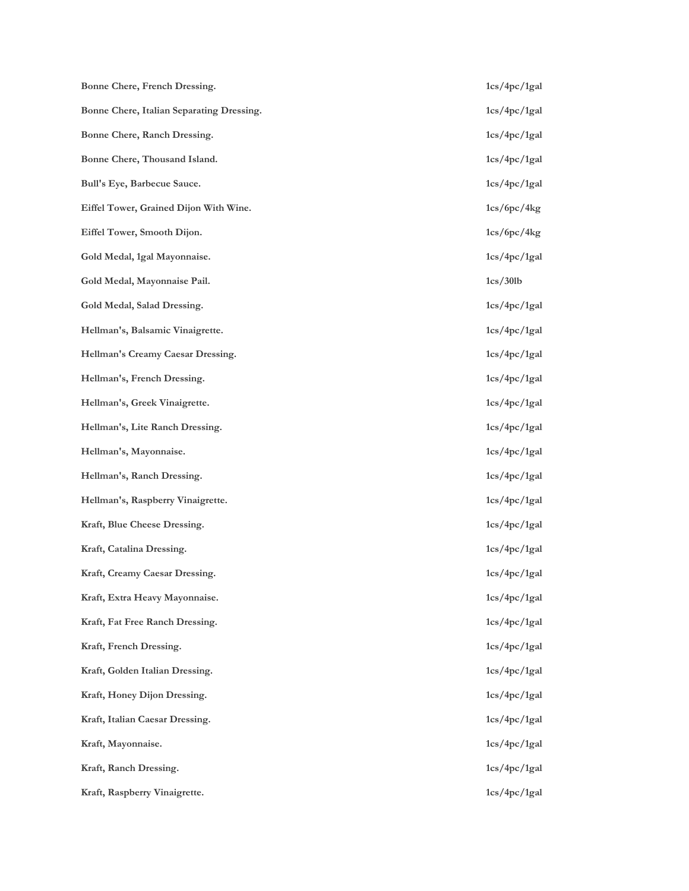| Bonne Chere, French Dressing.             | 1cs/4pc/1gal |
|-------------------------------------------|--------------|
| Bonne Chere, Italian Separating Dressing. | 1cs/4pc/1gal |
| Bonne Chere, Ranch Dressing.              | 1cs/4pc/1gal |
| Bonne Chere, Thousand Island.             | 1cs/4pc/1gal |
| Bull's Eye, Barbecue Sauce.               | 1cs/4pc/1gal |
| Eiffel Tower, Grained Dijon With Wine.    | 1cs/6pc/4kg  |
| Eiffel Tower, Smooth Dijon.               | 1cs/6pc/4kg  |
| Gold Medal, 1gal Mayonnaise.              | 1cs/4pc/1gal |
| Gold Medal, Mayonnaise Pail.              | 1cs/30lb     |
| Gold Medal, Salad Dressing.               | 1cs/4pc/1gal |
| Hellman's, Balsamic Vinaigrette.          | 1cs/4pc/1gal |
| Hellman's Creamy Caesar Dressing.         | 1cs/4pc/1gal |
| Hellman's, French Dressing.               | 1cs/4pc/1gal |
| Hellman's, Greek Vinaigrette.             | 1cs/4pc/1gal |
| Hellman's, Lite Ranch Dressing.           | 1cs/4pc/1gal |
| Hellman's, Mayonnaise.                    | 1cs/4pc/1gal |
| Hellman's, Ranch Dressing.                | 1cs/4pc/1gal |
| Hellman's, Raspberry Vinaigrette.         | 1cs/4pc/1gal |
| Kraft, Blue Cheese Dressing.              | 1cs/4pc/1gal |
| Kraft, Catalina Dressing.                 | 1cs/4pc/1gal |
| Kraft, Creamy Caesar Dressing.            | 1cs/4pc/1gal |
| Kraft, Extra Heavy Mayonnaise.            | 1cs/4pc/1gal |
| Kraft, Fat Free Ranch Dressing.           | 1cs/4pc/1gal |
| Kraft, French Dressing.                   | 1cs/4pc/1gal |
| Kraft, Golden Italian Dressing.           | 1cs/4pc/1gal |
| Kraft, Honey Dijon Dressing.              | 1cs/4pc/1gal |
| Kraft, Italian Caesar Dressing.           | 1cs/4pc/1gal |
| Kraft, Mayonnaise.                        | 1cs/4pc/1gal |
| Kraft, Ranch Dressing.                    | 1cs/4pc/1gal |
| Kraft, Raspberry Vinaigrette.             | 1cs/4pc/1gal |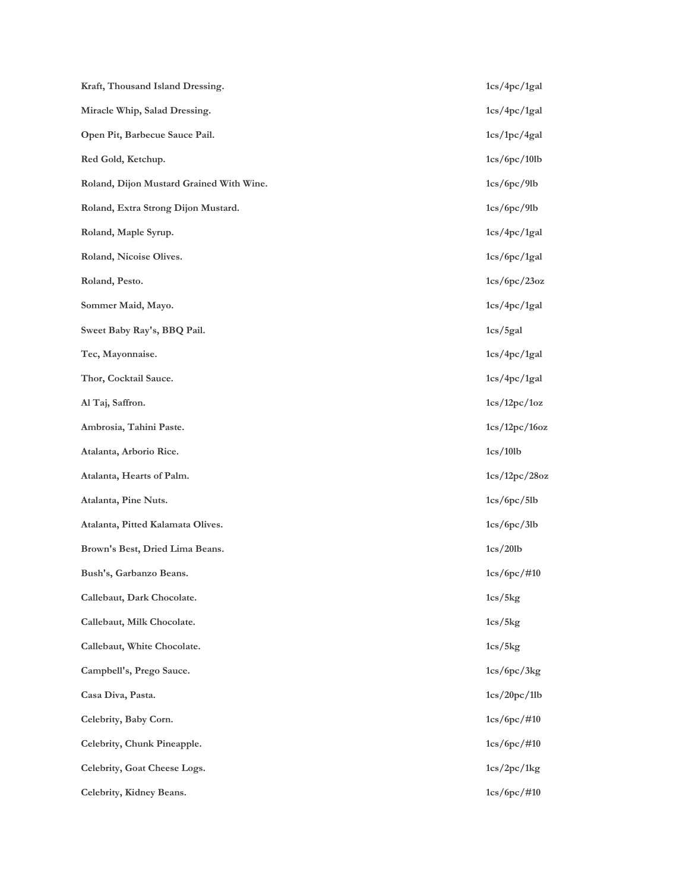| Kraft, Thousand Island Dressing.         | 1cs/4pc/1gal   |
|------------------------------------------|----------------|
| Miracle Whip, Salad Dressing.            | 1cs/4pc/1gal   |
| Open Pit, Barbecue Sauce Pail.           | 1cs/1pc/4gal   |
| Red Gold, Ketchup.                       | 1cs/6pc/10lb   |
| Roland, Dijon Mustard Grained With Wine. | 1cs/6pc/9lb    |
| Roland, Extra Strong Dijon Mustard.      | 1cs/6pc/9lb    |
| Roland, Maple Syrup.                     | 1cs/4pc/1gal   |
| Roland, Nicoise Olives.                  | 1cs/6pc/1gal   |
| Roland, Pesto.                           | 1cs/6pc/23oz   |
| Sommer Maid, Mayo.                       | 1cs/4pc/1gal   |
| Sweet Baby Ray's, BBQ Pail.              | 1cs/5gal       |
| Tec, Mayonnaise.                         | 1cs/4pc/1gal   |
| Thor, Cocktail Sauce.                    | 1cs/4pc/1gal   |
| Al Taj, Saffron.                         | 1cs/12pc/1oz   |
| Ambrosia, Tahini Paste.                  | 1cs/12pc/16oz  |
| Atalanta, Arborio Rice.                  | 1cs/10lb       |
| Atalanta, Hearts of Palm.                | 1cs/12pc/28oz  |
| Atalanta, Pine Nuts.                     | 1cs/6pc/5lb    |
| Atalanta, Pitted Kalamata Olives.        | 1cs/6pc/3lb    |
| Brown's Best, Dried Lima Beans.          | 1cs/201b       |
| Bush's, Garbanzo Beans.                  | $1cs/6pc/$ #10 |
| Callebaut, Dark Chocolate.               | 1cs/5kg        |
| Callebaut, Milk Chocolate.               | 1cs/5kg        |
| Callebaut, White Chocolate.              | 1cs/5kg        |
| Campbell's, Prego Sauce.                 | 1cs/6pc/3kg    |
| Casa Diva, Pasta.                        | 1cs/20pc/1lb   |
| Celebrity, Baby Corn.                    | $1cs/6pc/$ #10 |
| Celebrity, Chunk Pineapple.              | $1cs/6pc/$ #10 |
| Celebrity, Goat Cheese Logs.             | 1cs/2pc/1kg    |
| Celebrity, Kidney Beans.                 | $1cs/6pc/$ #10 |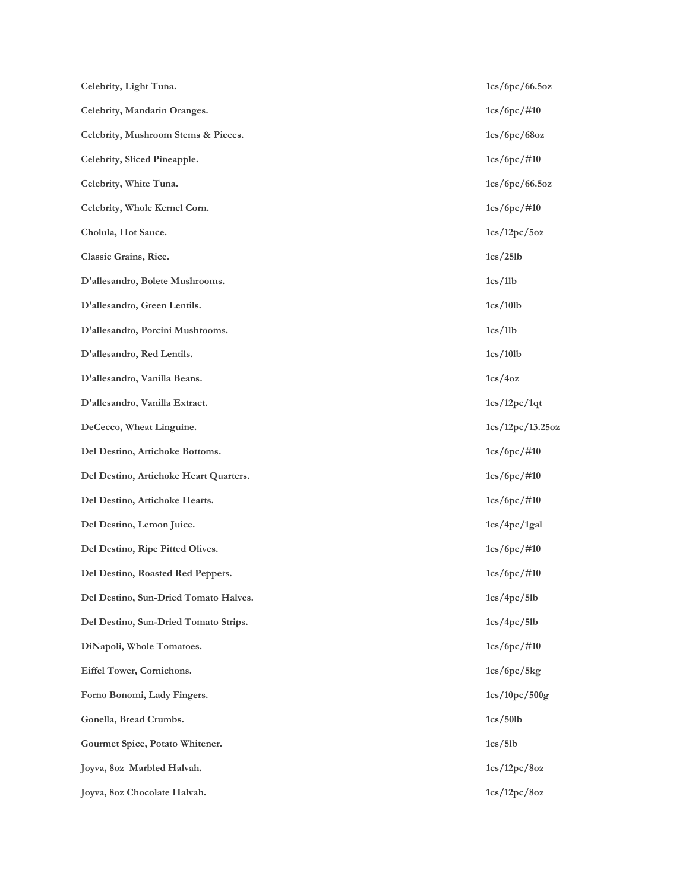| Celebrity, Light Tuna.                 | 1cs/6pc/66.5oz   |
|----------------------------------------|------------------|
| Celebrity, Mandarin Oranges.           | $1cs/6pc/$ #10   |
| Celebrity, Mushroom Stems & Pieces.    | 1cs/6pc/68oz     |
| Celebrity, Sliced Pineapple.           | $1cs/6pc/$ #10   |
| Celebrity, White Tuna.                 | 1cs/6pc/66.5oz   |
| Celebrity, Whole Kernel Corn.          | $1cs/6pc/$ #10   |
| Cholula, Hot Sauce.                    | 1cs/12pc/5oz     |
| Classic Grains, Rice.                  | 1cs/25lb         |
| D'allesandro, Bolete Mushrooms.        | 1cs/11b          |
| D'allesandro, Green Lentils.           | 1cs/101b         |
| D'allesandro, Porcini Mushrooms.       | 1cs/11b          |
| D'allesandro, Red Lentils.             | 1cs/10lb         |
| D'allesandro, Vanilla Beans.           | 1cs/4oz          |
| D'allesandro, Vanilla Extract.         | 1cs/12pc/1qt     |
| DeCecco, Wheat Linguine.               | 1cs/12pc/13.25oz |
| Del Destino, Artichoke Bottoms.        | $1cs/6pc/$ #10   |
| Del Destino, Artichoke Heart Quarters. | $1cs/6pc/$ #10   |
| Del Destino, Artichoke Hearts.         | $1cs/6pc/$ #10   |
| Del Destino, Lemon Juice.              | 1cs/4pc/1gal     |
| Del Destino, Ripe Pitted Olives.       | $1cs/6pc/$ #10   |
| Del Destino, Roasted Red Peppers.      | $1cs/6pc/$ #10   |
| Del Destino, Sun-Dried Tomato Halves.  | 1cs/4pc/5lb      |
| Del Destino, Sun-Dried Tomato Strips.  | 1cs/4pc/5lb      |
| DiNapoli, Whole Tomatoes.              | $1cs/6pc/$ #10   |
| Eiffel Tower, Cornichons.              | 1cs/6pc/5kg      |
| Forno Bonomi, Lady Fingers.            | 1cs/10pc/500g    |
| Gonella, Bread Crumbs.                 | 1cs/501b         |
| Gourmet Spice, Potato Whitener.        | 1cs/5lb          |
| Joyva, 80z Marbled Halvah.             | 1cs/12pc/8oz     |
| Joyva, 80z Chocolate Halvah.           | 1cs/12pc/8oz     |
|                                        |                  |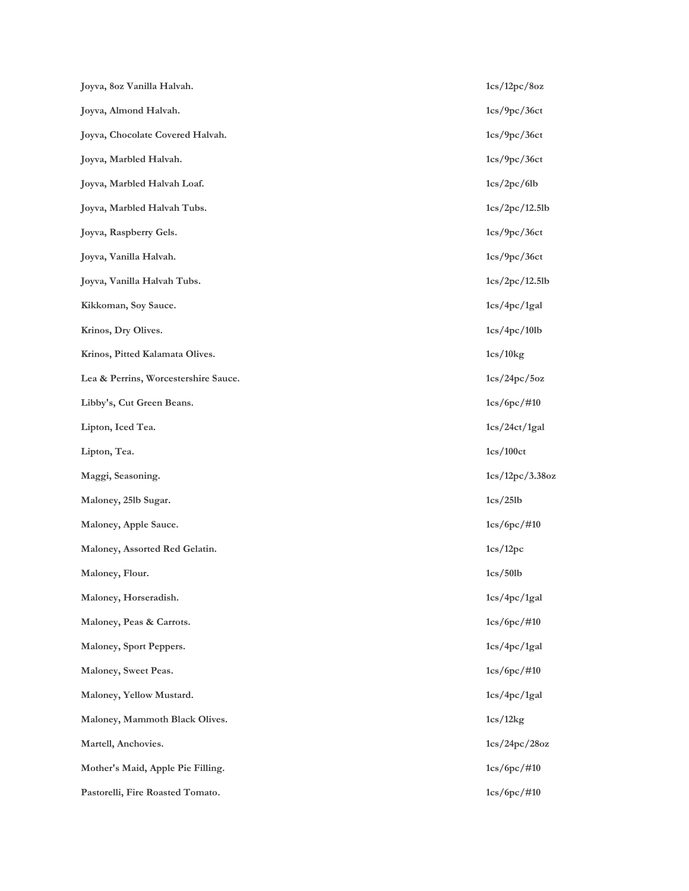| Joyva, 80z Vanilla Halvah.           | 1cs/12pc/8oz    |
|--------------------------------------|-----------------|
| Joyva, Almond Halvah.                | 1cs/9pc/36ct    |
| Joyva, Chocolate Covered Halvah.     | 1cs/9pc/36ct    |
| Joyva, Marbled Halvah.               | 1cs/9pc/36ct    |
| Joyva, Marbled Halvah Loaf.          | 1cs/2pc/6lb     |
| Joyva, Marbled Halvah Tubs.          | 1cs/2pc/12.5lb  |
| Joyva, Raspberry Gels.               | 1cs/9pc/36ct    |
| Joyva, Vanilla Halvah.               | 1cs/9pc/36ct    |
| Joyva, Vanilla Halvah Tubs.          | 1cs/2pc/12.5lb  |
| Kikkoman, Soy Sauce.                 | 1cs/4pc/1gal    |
| Krinos, Dry Olives.                  | 1cs/4pc/10lb    |
| Krinos, Pitted Kalamata Olives.      | 1cs/10kg        |
| Lea & Perrins, Worcestershire Sauce. | 1cs/24pc/5oz    |
| Libby's, Cut Green Beans.            | $1cs/6pc/$ #10  |
| Lipton, Iced Tea.                    | 1cs/24ct/1gal   |
| Lipton, Tea.                         | 1cs/100ct       |
| Maggi, Seasoning.                    | 1cs/12pc/3.38oz |
| Maloney, 251b Sugar.                 | 1cs/25lb        |
| Maloney, Apple Sauce.                | $1cs/6pc/$ #10  |
| Maloney, Assorted Red Gelatin.       | 1cs/12pc        |
| Maloney, Flour.                      | 1cs/50lb        |
| Maloney, Horseradish.                | 1cs/4pc/1gal    |
| Maloney, Peas & Carrots.             | $1cs/6pc/$ #10  |
| Maloney, Sport Peppers.              | 1cs/4pc/1gal    |
| Maloney, Sweet Peas.                 | $1cs/6pc/$ #10  |
| Maloney, Yellow Mustard.             | 1cs/4pc/1gal    |
| Maloney, Mammoth Black Olives.       | 1cs/12kg        |
| Martell, Anchovies.                  | 1cs/24pc/28oz   |
| Mother's Maid, Apple Pie Filling.    | $1cs/6pc/$ #10  |
| Pastorelli, Fire Roasted Tomato.     | $1cs/6pc/$ #10  |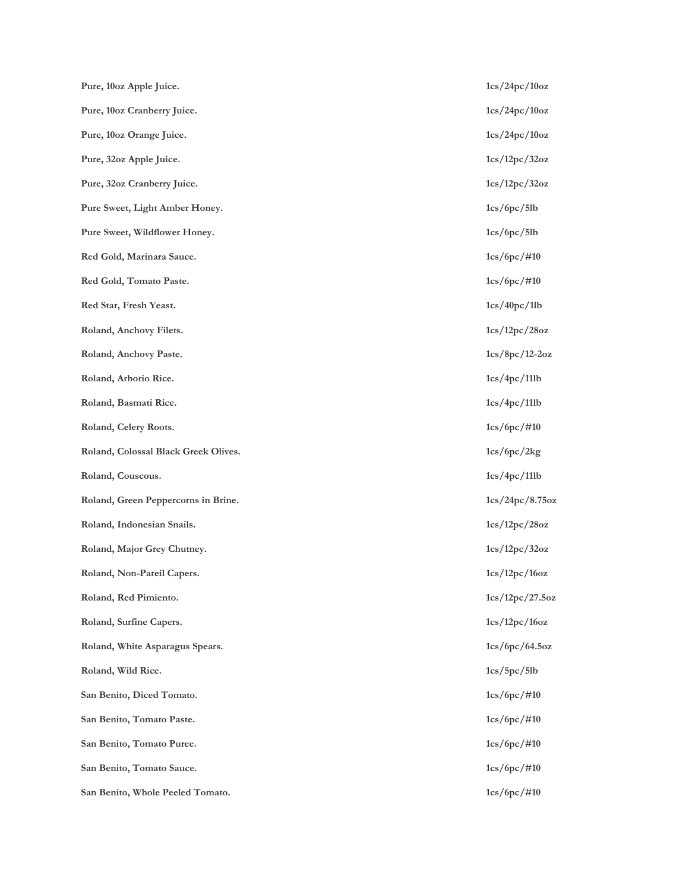| Pure, 10oz Apple Juice.              | 1cs/24pc/10oz    |
|--------------------------------------|------------------|
| Pure, 10oz Cranberry Juice.          | 1cs/24pc/10oz    |
| Pure, 10oz Orange Juice.             | 1cs/24pc/10oz    |
| Pure, 32oz Apple Juice.              | 1cs/12pc/32oz    |
| Pure, 32oz Cranberry Juice.          | 1cs/12pc/32oz    |
| Pure Sweet, Light Amber Honey.       | 1cs/6pc/5lb      |
| Pure Sweet, Wildflower Honey.        | 1cs/6pc/5lb      |
| Red Gold, Marinara Sauce.            | $1cs/6pc/$ #10   |
| Red Gold, Tomato Paste.              | $1cs/6pc/$ #10   |
| Red Star, Fresh Yeast.               | 1cs/40pc/1lb     |
| Roland, Anchovy Filets.              | 1cs/12pc/28oz    |
| Roland, Anchovy Paste.               | $1cs/8pc/12-2oz$ |
| Roland, Arborio Rice.                | 1cs/4pc/11lb     |
| Roland, Basmati Rice.                | 1cs/4pc/11lb     |
| Roland, Celery Roots.                | $1cs/6pc/$ #10   |
| Roland, Colossal Black Greek Olives. | 1cs/6pc/2kg      |
| Roland, Couscous.                    | 1cs/4pc/11lb     |
| Roland, Green Peppercorns in Brine.  | 1cs/24pc/8.75oz  |
| Roland, Indonesian Snails.           | 1cs/12pc/28oz    |
| Roland, Major Grey Chutney.          | 1cs/12pc/32oz    |
| Roland, Non-Pareil Capers.           | 1cs/12pc/16oz    |
| Roland, Red Pimiento.                | 1cs/12pc/27.5oz  |
| Roland, Surfine Capers.              | 1cs/12pc/16oz    |
| Roland, White Asparagus Spears.      | 1cs/6pc/64.5oz   |
| Roland, Wild Rice.                   | 1cs/5pc/5lb      |
| San Benito, Diced Tomato.            | $1cs/6pc/$ #10   |
| San Benito, Tomato Paste.            | $1cs/6pc/$ #10   |
| San Benito, Tomato Puree.            | $1cs/6pc/$ #10   |
| San Benito, Tomato Sauce.            | $1cs/6pc/$ #10   |
| San Benito, Whole Peeled Tomato.     | $1cs/6pc/$ #10   |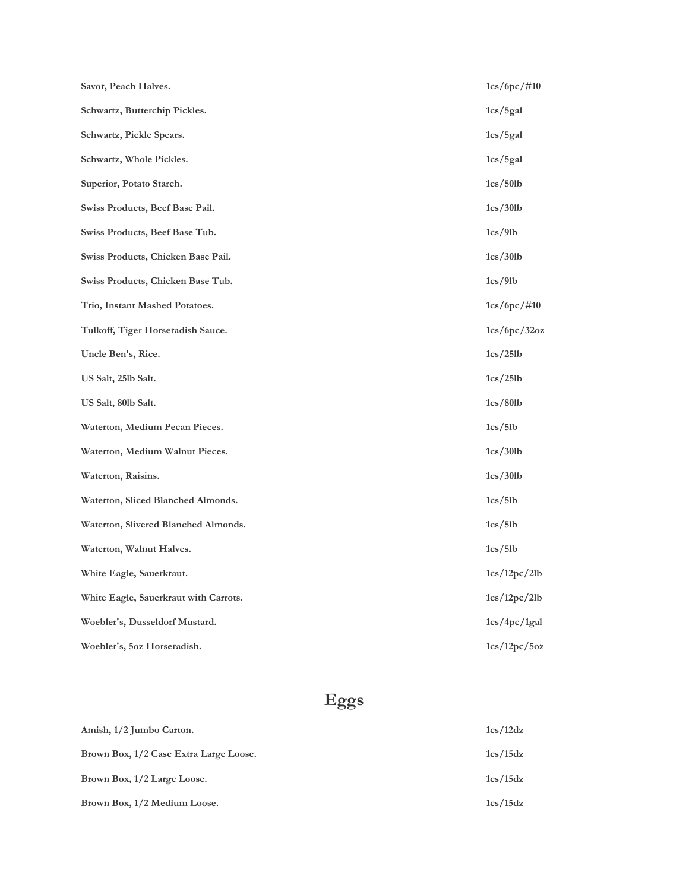| Savor, Peach Halves.                  | $1cs/6pc/$ #10 |
|---------------------------------------|----------------|
| Schwartz, Butterchip Pickles.         | 1cs/5gal       |
| Schwartz, Pickle Spears.              | 1cs/5gal       |
| Schwartz, Whole Pickles.              | 1cs/5gal       |
| Superior, Potato Starch.              | 1cs/50lb       |
| Swiss Products, Beef Base Pail.       | 1cs/30lb       |
| Swiss Products, Beef Base Tub.        | 1cs/9lb        |
| Swiss Products, Chicken Base Pail.    | 1cs/30lb       |
| Swiss Products, Chicken Base Tub.     | 1cs/9lb        |
| Trio, Instant Mashed Potatoes.        | $1cs/6pc/$ #10 |
| Tulkoff, Tiger Horseradish Sauce.     | 1cs/6pc/32oz   |
| Uncle Ben's, Rice.                    | 1cs/25lb       |
| US Salt, 251b Salt.                   | 1cs/25lb       |
| US Salt, 801b Salt.                   | 1cs/801b       |
| Waterton, Medium Pecan Pieces.        | 1cs/5lb        |
| Waterton, Medium Walnut Pieces.       | 1cs/30lb       |
| Waterton, Raisins.                    | 1cs/30lb       |
| Waterton, Sliced Blanched Almonds.    | 1cs/5lb        |
| Waterton, Slivered Blanched Almonds.  | 1cs/5lb        |
| Waterton, Walnut Halves.              | 1cs/5lb        |
| White Eagle, Sauerkraut.              | 1cs/12pc/2lb   |
| White Eagle, Sauerkraut with Carrots. | 1cs/12pc/2lb   |
| Woebler's, Dusseldorf Mustard.        | 1cs/4pc/1gal   |
| Woebler's, 5oz Horseradish.           | 1cs/12pc/5oz   |

## **Eggs**

| Amish, 1/2 Jumbo Carton.               | 1cs/12dz |
|----------------------------------------|----------|
| Brown Box, 1/2 Case Extra Large Loose. | 1cs/15dz |
| Brown Box, 1/2 Large Loose.            | 1cs/15dz |
| Brown Box, 1/2 Medium Loose.           | 1cs/15dz |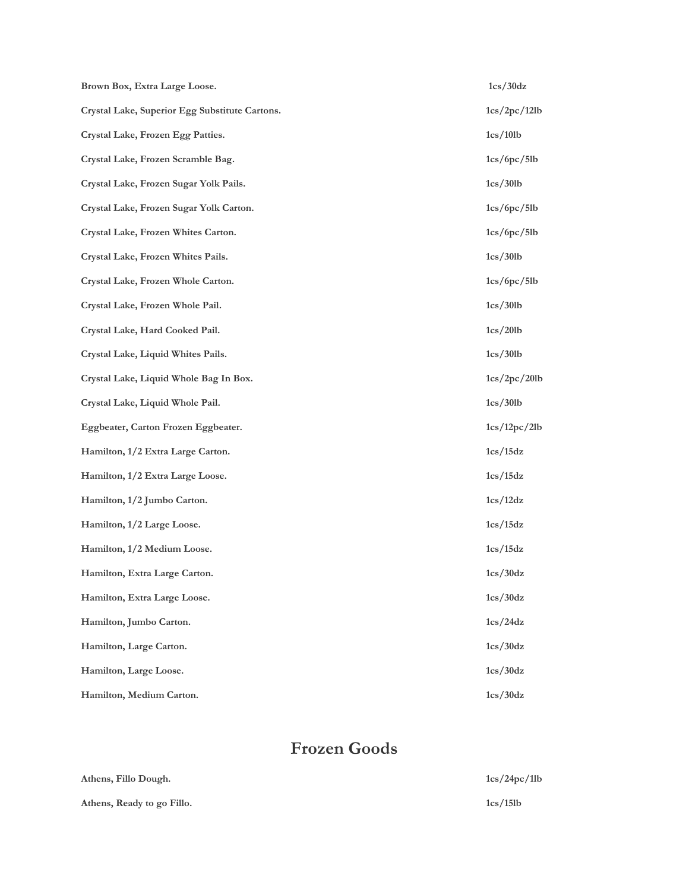| Brown Box, Extra Large Loose.                  | 1cs/30dz     |
|------------------------------------------------|--------------|
| Crystal Lake, Superior Egg Substitute Cartons. | 1cs/2pc/12lb |
| Crystal Lake, Frozen Egg Patties.              | 1cs/101b     |
| Crystal Lake, Frozen Scramble Bag.             | 1cs/6pc/5lb  |
| Crystal Lake, Frozen Sugar Yolk Pails.         | 1cs/30lb     |
| Crystal Lake, Frozen Sugar Yolk Carton.        | 1cs/6pc/5lb  |
| Crystal Lake, Frozen Whites Carton.            | 1cs/6pc/5lb  |
| Crystal Lake, Frozen Whites Pails.             | 1cs/30lb     |
| Crystal Lake, Frozen Whole Carton.             | 1cs/6pc/5lb  |
| Crystal Lake, Frozen Whole Pail.               | 1cs/30lb     |
| Crystal Lake, Hard Cooked Pail.                | 1cs/201b     |
| Crystal Lake, Liquid Whites Pails.             | 1cs/30lb     |
| Crystal Lake, Liquid Whole Bag In Box.         | 1cs/2pc/20lb |
| Crystal Lake, Liquid Whole Pail.               | 1cs/30lb     |
| Eggbeater, Carton Frozen Eggbeater.            | 1cs/12pc/2lb |
| Hamilton, 1/2 Extra Large Carton.              | 1cs/15dz     |
| Hamilton, 1/2 Extra Large Loose.               | 1cs/15dz     |
| Hamilton, 1/2 Jumbo Carton.                    | 1cs/12dz     |
| Hamilton, 1/2 Large Loose.                     | 1cs/15dz     |
| Hamilton, 1/2 Medium Loose.                    | 1cs/15dz     |
| Hamilton, Extra Large Carton.                  | 1cs/30dz     |
| Hamilton, Extra Large Loose.                   | 1cs/30dz     |
| Hamilton, Jumbo Carton.                        | 1cs/24dz     |
| Hamilton, Large Carton.                        | 1cs/30dz     |
| Hamilton, Large Loose.                         | 1cs/30dz     |
| Hamilton, Medium Carton.                       | 1cs/30dz     |

### **Frozen Goods**

| Athens, Fillo Dough.       | 1cs/24pc/1lb |
|----------------------------|--------------|
| Athens, Ready to go Fillo. | 1cs/15lb     |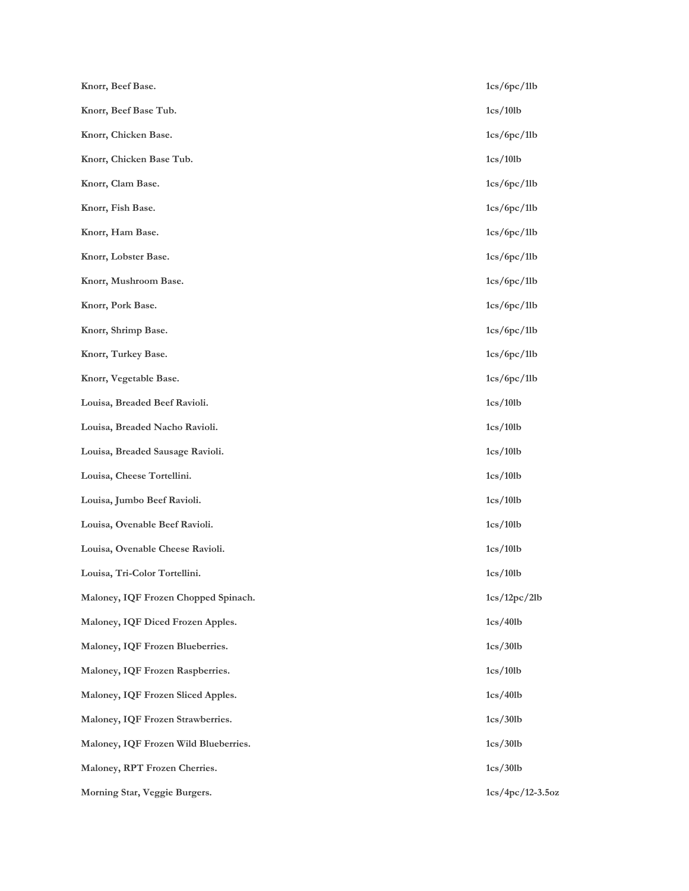| Knorr, Beef Base.                     | 1cs/6pc/1lb        |
|---------------------------------------|--------------------|
| Knorr, Beef Base Tub.                 | 1cs/101b           |
| Knorr, Chicken Base.                  | 1cs/6pc/1lb        |
| Knorr, Chicken Base Tub.              | 1cs/101b           |
| Knorr, Clam Base.                     | 1cs/6pc/1lb        |
| Knorr, Fish Base.                     | 1cs/6pc/1lb        |
| Knorr, Ham Base.                      | 1cs/6pc/1lb        |
| Knorr, Lobster Base.                  | 1cs/6pc/11b        |
| Knorr, Mushroom Base.                 | 1cs/6pc/1lb        |
| Knorr, Pork Base.                     | 1cs/6pc/1lb        |
| Knorr, Shrimp Base.                   | 1cs/6pc/1lb        |
| Knorr, Turkey Base.                   | 1cs/6pc/1lb        |
| Knorr, Vegetable Base.                | 1cs/6pc/1lb        |
| Louisa, Breaded Beef Ravioli.         | 1cs/101b           |
| Louisa, Breaded Nacho Ravioli.        | 1cs/101b           |
| Louisa, Breaded Sausage Ravioli.      | 1cs/101b           |
| Louisa, Cheese Tortellini.            | 1cs/101b           |
| Louisa, Jumbo Beef Ravioli.           | 1cs/101b           |
| Louisa, Ovenable Beef Ravioli.        | 1cs/101b           |
| Louisa, Ovenable Cheese Ravioli.      | 1cs/101b           |
| Louisa, Tri-Color Tortellini.         | 1cs/10lb           |
| Maloney, IQF Frozen Chopped Spinach.  | 1cs/12pc/2lb       |
| Maloney, IQF Diced Frozen Apples.     | 1cs/401b           |
| Maloney, IQF Frozen Blueberries.      | 1cs/30lb           |
| Maloney, IQF Frozen Raspberries.      | 1cs/101b           |
| Maloney, IQF Frozen Sliced Apples.    | 1cs/401b           |
| Maloney, IQF Frozen Strawberries.     | 1cs/30lb           |
| Maloney, IQF Frozen Wild Blueberries. | 1cs/30lb           |
| Maloney, RPT Frozen Cherries.         | 1cs/30lb           |
| Morning Star, Veggie Burgers.         | $1cs/4pc/12-3.5oz$ |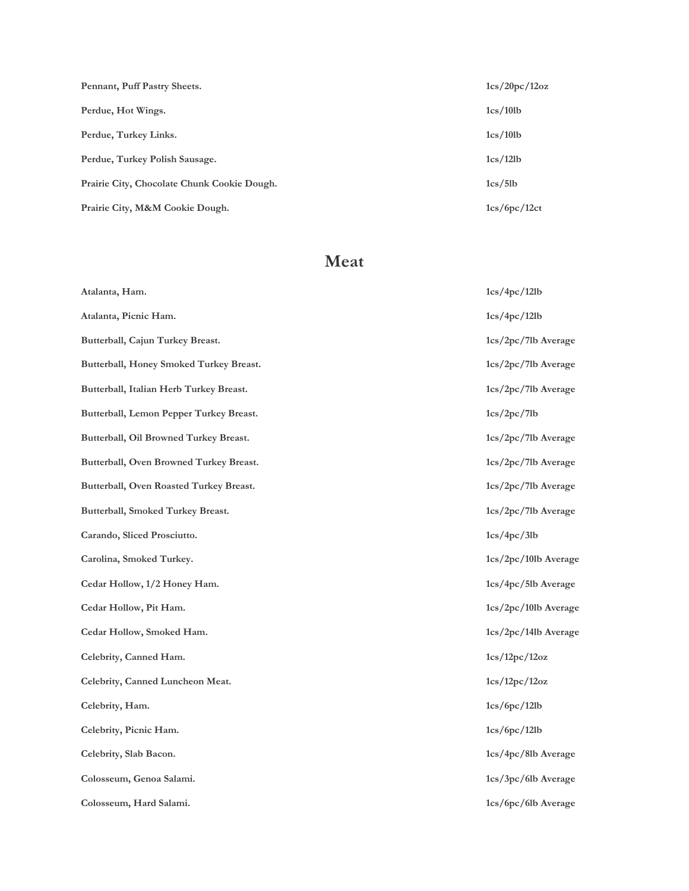| Pennant, Puff Pastry Sheets.                | 1cs/20pc/12oz |
|---------------------------------------------|---------------|
| Perdue, Hot Wings.                          | 1cs/101b      |
| Perdue, Turkey Links.                       | 1cs/101b      |
| Perdue, Turkey Polish Sausage.              | 1cs/12lb      |
| Prairie City, Chocolate Chunk Cookie Dough. | 1cs/5lb       |
| Prairie City, M&M Cookie Dough.             | 1cs/6pc/12ct  |

#### **Meat**

| Atalanta, Ham.                          | 1cs/4pc/12lb          |
|-----------------------------------------|-----------------------|
| Atalanta, Picnic Ham.                   | 1cs/4pc/12lb          |
| Butterball, Cajun Turkey Breast.        | 1cs/2pc/7lb Average   |
| Butterball, Honey Smoked Turkey Breast. | 1cs/2pc/7lb Average   |
| Butterball, Italian Herb Turkey Breast. | 1cs/2pc/7lb Average   |
| Butterball, Lemon Pepper Turkey Breast. | 1cs/2pc/7lb           |
| Butterball, Oil Browned Turkey Breast.  | 1cs/2pc/7lb Average   |
| Butterball, Oven Browned Turkey Breast. | 1cs/2pc/7lb Average   |
| Butterball, Oven Roasted Turkey Breast. | 1cs/2pc/7lb Average   |
| Butterball, Smoked Turkey Breast.       | 1cs/2pc/7lb Average   |
| Carando, Sliced Prosciutto.             | 1cs/4pc/3lb           |
| Carolina, Smoked Turkey.                | 1cs/2pc/10lb Average  |
| Cedar Hollow, 1/2 Honey Ham.            | 1cs/4pc/5lb Average   |
| Cedar Hollow, Pit Ham.                  | 1cs/2pc/101b Average  |
| Cedar Hollow, Smoked Ham.               | 1cs/2pc/14lb Average  |
| Celebrity, Canned Ham.                  | 1cs/12pc/12oz         |
| Celebrity, Canned Luncheon Meat.        | 1cs/12pc/12oz         |
| Celebrity, Ham.                         | 1cs/6pc/12lb          |
| Celebrity, Picnic Ham.                  | 1cs/6pc/12lb          |
| Celebrity, Slab Bacon.                  | 1cs/4pc/8lb Average   |
| Colosseum, Genoa Salami.                | 1cs/3pc/6lb Average   |
| Colosseum, Hard Salami.                 | $1cs/6pc/6lb$ Average |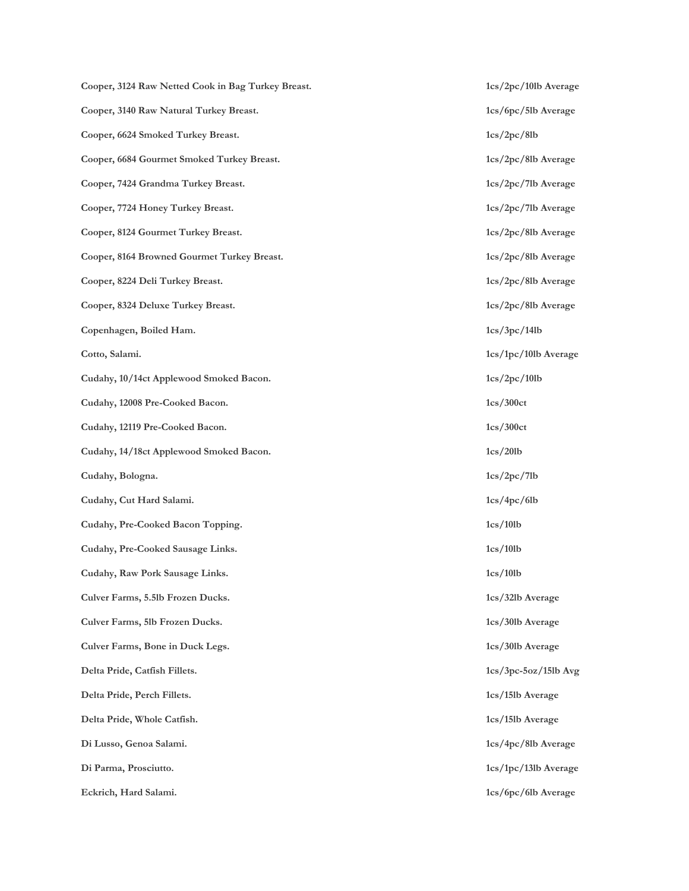**Cooper, 3124 Raw Netted Cook in Bag Turkey Breast. 1cs/2pc/10lb Average Cooper, 3140 Raw Natural Turkey Breast. 1cs/6pc/5lb Average Cooper, 6624 Smoked Turkey Breast. 1cs/2pc/8lb Cooper, 6684 Gourmet Smoked Turkey Breast. 1cs/2pc/8lb Average Cooper, 7424 Grandma Turkey Breast. 1cs/2pc/7lb Average Cooper, 7724 Honey Turkey Breast. 1cs/2pc/7lb Average** Cooper, 8124 Gourmet Turkey Breast. 1cs/2pc/8lb Average **Cooper, 8164 Browned Gourmet Turkey Breast. 1cs/2pc/8lb Average Cooper, 8224 Deli Turkey Breast. 1cs/2pc/8lb Average** Cooper, 8324 Deluxe Turkey Breast. 1cs/2pc/8lb Average **Copenhagen, Boiled Ham. 1cs/3pc/14lb Cotto, Salami. 1cs/1pc/10lb Average Cudahy, 10/14ct Applewood Smoked Bacon. 1cs/2pc/10lb Cudahy, 12008 Pre-Cooked Bacon. 1cs/300ct Cudahy, 12119 Pre-Cooked Bacon. 1cs/300ct Cudahy, 14/18ct Applewood Smoked Bacon. 1cs/20lb Cudahy, Bologna. 1cs/2pc/7lb Cudahy, Cut Hard Salami. 1cs/4pc/6lb Cudahy, Pre-Cooked Bacon Topping. 1cs/10lb Cudahy, Pre-Cooked Sausage Links. 1cs/10lb Cudahy, Raw Pork Sausage Links. 1cs/10lb Culver Farms, 5.5lb Frozen Ducks. 1cs/32lb Average Culver Farms, 5lb Frozen Ducks. 1cs/30lb Average Culver Farms, Bone in Duck Legs. 1cs/30lb Average Delta Pride, Catfish Fillets. 1cs/3pc-5oz/15lb Avg Delta Pride, Perch Fillets. 1cs/15lb Average Delta Pride, Whole Catfish. 1cs/15lb Average Di Lusso, Genoa Salami. 1cs/4pc/8lb Average Di Parma, Prosciutto. 1cs/1pc/13lb Average** Eckrich, Hard Salami. **1cs/6pc/6lb Average**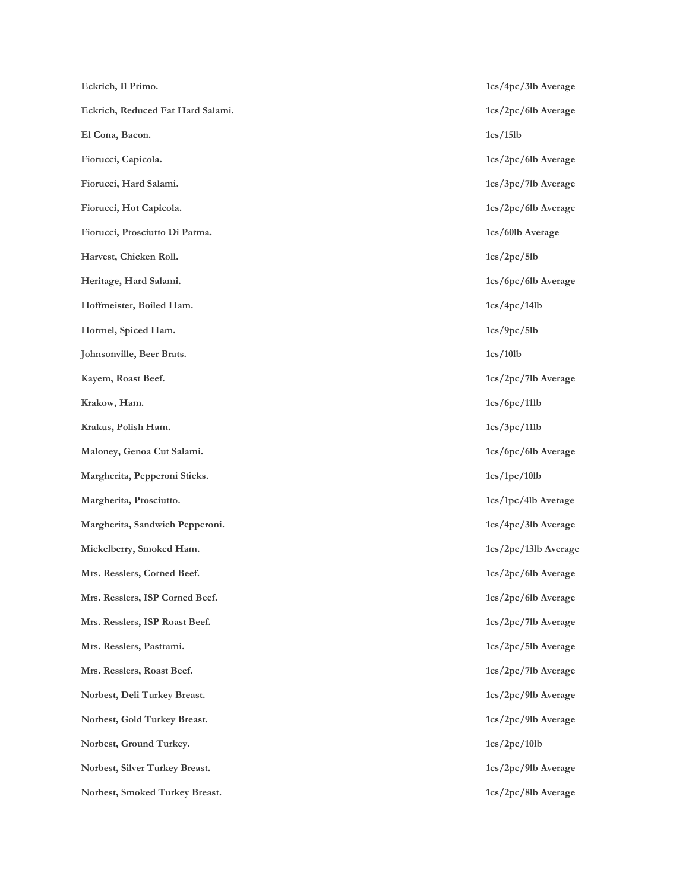| Eckrich, Il Primo.                | 1cs/4pc  |
|-----------------------------------|----------|
| Eckrich, Reduced Fat Hard Salami. | 1cs/2pc  |
| El Cona, Bacon.                   | 1cs/15lb |
| Fiorucci, Capicola.               | 1cs/2pc  |
| Fiorucci, Hard Salami.            | 1cs/3pc  |
| Fiorucci, Hot Capicola.           | 1cs/2pc  |
| Fiorucci, Prosciutto Di Parma.    | 1cs/601b |
| Harvest, Chicken Roll.            | 1cs/2pc  |
| Heritage, Hard Salami.            | 1cs/6pc  |
| Hoffmeister, Boiled Ham.          | 1cs/4pc  |
| Hormel, Spiced Ham.               | 1cs/9pc  |
| Johnsonville, Beer Brats.         | 1cs/10lb |
| Kayem, Roast Beef.                | 1cs/2pc  |
| Krakow, Ham.                      | 1cs/6pc  |
| Krakus, Polish Ham.               | 1cs/3pc  |
| Maloney, Genoa Cut Salami.        | 1cs/6pc  |
| Margherita, Pepperoni Sticks.     | 1cs/1pc  |
| Margherita, Prosciutto.           | 1cs/1pc  |
| Margherita, Sandwich Pepperoni.   | 1cs/4pc  |
| Mickelberry, Smoked Ham.          | 1cs/2pc  |
| Mrs. Resslers, Corned Beef.       | 1cs/2pc  |
| Mrs. Resslers, ISP Corned Beef.   | 1cs/2pc  |
| Mrs. Resslers, ISP Roast Beef.    | 1cs/2pc  |
| Mrs. Resslers, Pastrami.          | 1cs/2pc  |
| Mrs. Resslers, Roast Beef.        | 1cs/2pc  |
| Norbest, Deli Turkey Breast.      | 1cs/2pc  |
| Norbest, Gold Turkey Breast.      | 1cs/2pc  |
| Norbest, Ground Turkey.           | 1cs/2pc  |
| Norbest, Silver Turkey Breast.    | 1cs/2pc  |
| Norbest, Smoked Turkey Breast.    | 1cs/2pc  |

**Eckrich, Il Primo. 1cs/4pc/3lb Average Eckrich, Reduced Fat Hard Salami. 1cs/2pc/6lb Average**  $1cs/2pc/6$ lb Average 1cs/3pc/7lb Average  $1cs/2pc/6lb$  Average 1cs/60lb Average **Harvest, Chicken Roll. 1cs/2pc/5lb** 1cs/6pc/6lb Average **Hoffmeister, Boiled Ham. 1cs/4pc/14lb Hormel, Spiced Ham. 1cs/9pc/5lb** 1cs/2pc/7lb Average **Krakow, Ham. 1cs/6pc/11lb Krakus, Polish Ham. 1cs/3pc/11lb** 1cs/6pc/6lb Average  $1\mathrm{cs}/1\mathrm{pc}/10\mathrm{lb}$ 1cs/1pc/4lb Average 1cs/4pc/3lb Average  $1\mathrm{cs}/2\mathrm{pc}/13\mathrm{lb}$  Average 1cs/2pc/6lb Average 1cs/2pc/6lb Average 1cs/2pc/7lb Average 1cs/2pc/5lb Average 1cs/2pc/7lb Average 1cs/2pc/9lb Average 1cs/2pc/9lb Average  $1cs/2pc/10lb$  $1cs/2pc/9$ lb Average 1cs/2pc/8lb Average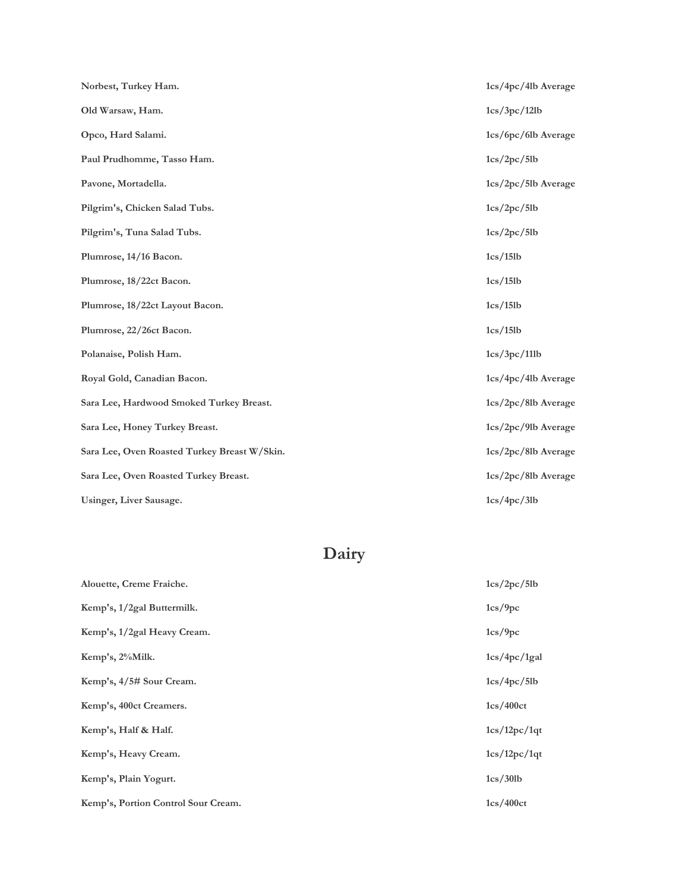| Norbest, Turkey Ham.                         | 1cs/4pc/4lb Average   |
|----------------------------------------------|-----------------------|
| Old Warsaw, Ham.                             | 1cs/3pc/12lb          |
| Opco, Hard Salami.                           | 1cs/6pc/6lb Average   |
| Paul Prudhomme, Tasso Ham.                   | 1cs/2pc/5lb           |
| Pavone, Mortadella.                          | 1cs/2pc/5lb Average   |
| Pilgrim's, Chicken Salad Tubs.               | 1cs/2pc/5lb           |
| Pilgrim's, Tuna Salad Tubs.                  | 1cs/2pc/5lb           |
| Plumrose, 14/16 Bacon.                       | 1cs/15lb              |
| Plumrose, 18/22ct Bacon.                     | 1cs/15lb              |
| Plumrose, 18/22ct Layout Bacon.              | 1cs/15lb              |
| Plumrose, 22/26ct Bacon.                     | 1cs/15lb              |
| Polanaise, Polish Ham.                       | 1cs/3pc/11lb          |
| Royal Gold, Canadian Bacon.                  | 1cs/4pc/4lb Average   |
| Sara Lee, Hardwood Smoked Turkey Breast.     | 1cs/2pc/8lb Average   |
| Sara Lee, Honey Turkey Breast.               | 1cs/2pc/9lb Average   |
| Sara Lee, Oven Roasted Turkey Breast W/Skin. | 1cs/2pc/8lb Average   |
| Sara Lee, Oven Roasted Turkey Breast.        | $1cs/2pc/8lb$ Average |
| Usinger, Liver Sausage.                      | 1cs/4pc/3lb           |

# **Dairy**

| Alouette, Creme Fraiche.            | 1cs/2pc/5lb  |
|-------------------------------------|--------------|
| Kemp's, 1/2gal Buttermilk.          | 1cs/9pc      |
| Kemp's, 1/2gal Heavy Cream.         | 1cs/9pc      |
| Kemp's, 2%Milk.                     | 1cs/4pc/1gal |
| Kemp's, 4/5# Sour Cream.            | 1cs/4pc/5lb  |
| Kemp's, 400ct Creamers.             | 1cs/400ct    |
| Kemp's, Half & Half.                | 1cs/12pc/1qt |
| Kemp's, Heavy Cream.                | 1cs/12pc/1qt |
| Kemp's, Plain Yogurt.               | 1cs/30lb     |
| Kemp's, Portion Control Sour Cream. | 1cs/400ct    |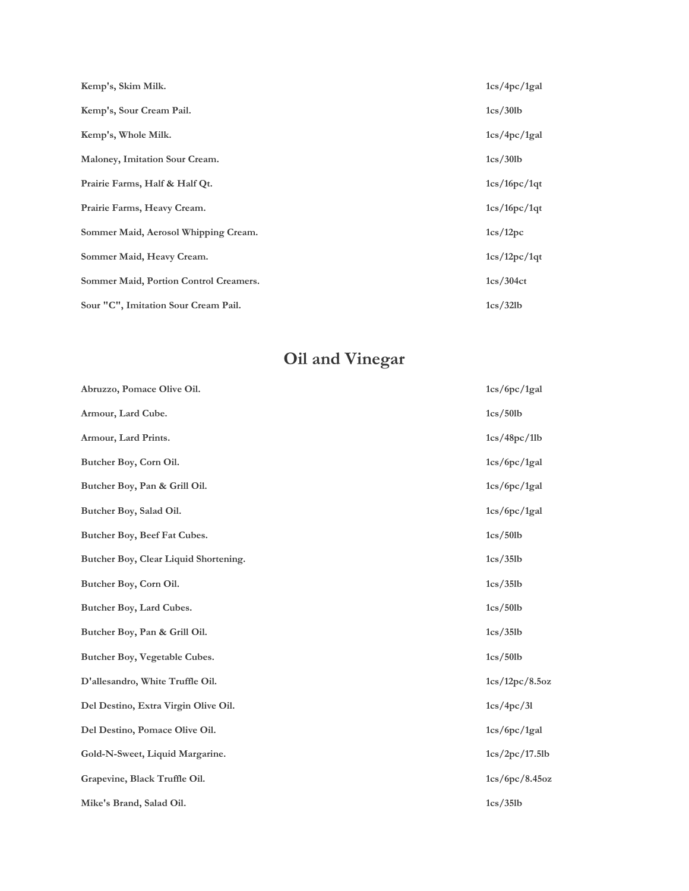| Kemp's, Skim Milk.                     | 1cs/4pc/1gal |
|----------------------------------------|--------------|
| Kemp's, Sour Cream Pail.               | 1cs/30lb     |
| Kemp's, Whole Milk.                    | 1cs/4pc/1gal |
| Maloney, Imitation Sour Cream.         | 1cs/30lb     |
| Prairie Farms, Half & Half Qt.         | 1cs/16pc/1qt |
| Prairie Farms, Heavy Cream.            | 1cs/16pc/1qt |
| Sommer Maid, Aerosol Whipping Cream.   | 1cs/12pc     |
| Sommer Maid, Heavy Cream.              | 1cs/12pc/1qt |
| Sommer Maid, Portion Control Creamers. | 1cs/304ct    |
| Sour "C", Imitation Sour Cream Pail.   | 1cs/32lb     |

## **Oil and Vinegar**

| Abruzzo, Pomace Olive Oil.            | 1cs/6pc/1gal   |
|---------------------------------------|----------------|
| Armour, Lard Cube.                    | 1cs/501b       |
| Armour, Lard Prints.                  | 1cs/48pc/1lb   |
| Butcher Boy, Corn Oil.                | 1cs/6pc/1gal   |
| Butcher Boy, Pan & Grill Oil.         | 1cs/6pc/1gal   |
| Butcher Boy, Salad Oil.               | 1cs/6pc/1gal   |
| Butcher Boy, Beef Fat Cubes.          | 1cs/50lb       |
| Butcher Boy, Clear Liquid Shortening. | 1cs/35lb       |
| Butcher Boy, Corn Oil.                | 1cs/35lb       |
| Butcher Boy, Lard Cubes.              | 1cs/501b       |
| Butcher Boy, Pan & Grill Oil.         | 1cs/35lb       |
| Butcher Boy, Vegetable Cubes.         | 1cs/501b       |
| D'allesandro, White Truffle Oil.      | 1cs/12pc/8.5oz |
| Del Destino, Extra Virgin Olive Oil.  | 1cs/4pc/31     |
| Del Destino, Pomace Olive Oil.        | 1cs/6pc/1gal   |
| Gold-N-Sweet, Liquid Margarine.       | 1cs/2pc/17.5lb |
| Grapevine, Black Truffle Oil.         | 1cs/6pc/8.45oz |
| Mike's Brand, Salad Oil.              | 1cs/35lb       |